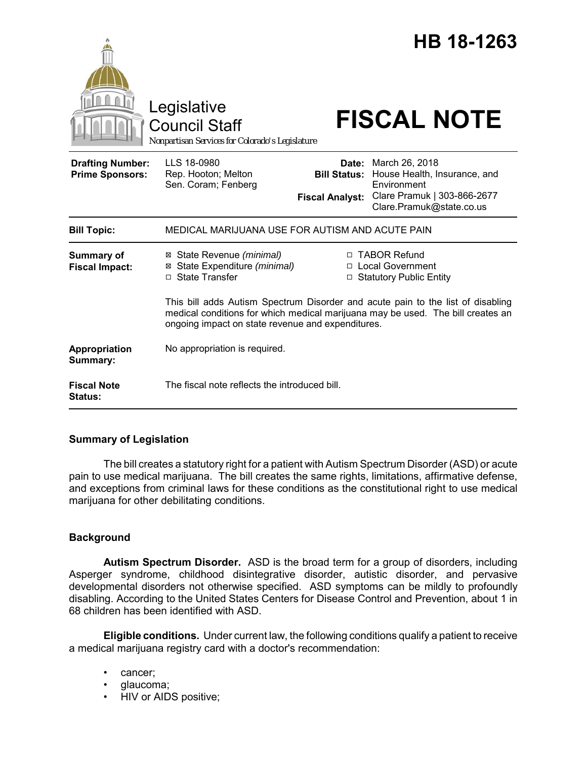

# **Summary of Legislation**

The bill creates a statutory right for a patient with Autism Spectrum Disorder (ASD) or acute pain to use medical marijuana. The bill creates the same rights, limitations, affirmative defense, and exceptions from criminal laws for these conditions as the constitutional right to use medical marijuana for other debilitating conditions.

### **Background**

**Autism Spectrum Disorder.** ASD is the broad term for a group of disorders, including Asperger syndrome, childhood disintegrative disorder, autistic disorder, and pervasive developmental disorders not otherwise specified. ASD symptoms can be mildly to profoundly disabling. According to the United States Centers for Disease Control and Prevention, about 1 in 68 children has been identified with ASD.

**Eligible conditions.** Under current law, the following conditions qualify a patient to receive a medical marijuana registry card with a doctor's recommendation:

- cancer;
- glaucoma;
- HIV or AIDS positive;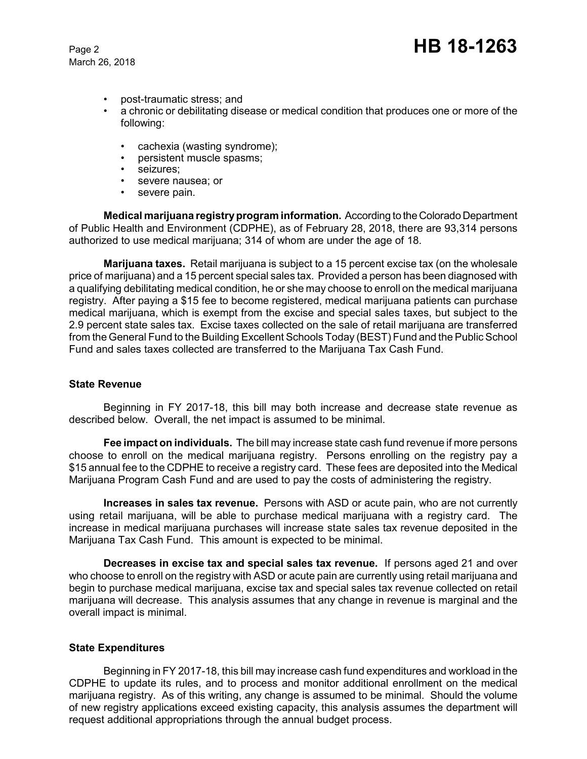March 26, 2018

- post-traumatic stress; and
- a chronic or debilitating disease or medical condition that produces one or more of the following:
	- cachexia (wasting syndrome);<br>• persistent muscle spasms;
	- persistent muscle spasms;
	- seizures;
	- severe nausea; or
	- severe pain.

**Medical marijuana registry program information.** According to the Colorado Department of Public Health and Environment (CDPHE), as of February 28, 2018, there are 93,314 persons authorized to use medical marijuana; 314 of whom are under the age of 18.

**Marijuana taxes.** Retail marijuana is subject to a 15 percent excise tax (on the wholesale price of marijuana) and a 15 percent special sales tax. Provided a person has been diagnosed with a qualifying debilitating medical condition, he or she may choose to enroll on the medical marijuana registry. After paying a \$15 fee to become registered, medical marijuana patients can purchase medical marijuana, which is exempt from the excise and special sales taxes, but subject to the 2.9 percent state sales tax. Excise taxes collected on the sale of retail marijuana are transferred from the General Fund to the Building Excellent Schools Today (BEST) Fund and the Public School Fund and sales taxes collected are transferred to the Marijuana Tax Cash Fund.

### **State Revenue**

Beginning in FY 2017-18, this bill may both increase and decrease state revenue as described below. Overall, the net impact is assumed to be minimal.

**Fee impact on individuals.** The bill may increase state cash fund revenue if more persons choose to enroll on the medical marijuana registry. Persons enrolling on the registry pay a \$15 annual fee to the CDPHE to receive a registry card. These fees are deposited into the Medical Marijuana Program Cash Fund and are used to pay the costs of administering the registry.

**Increases in sales tax revenue.** Persons with ASD or acute pain, who are not currently using retail marijuana, will be able to purchase medical marijuana with a registry card. The increase in medical marijuana purchases will increase state sales tax revenue deposited in the Marijuana Tax Cash Fund. This amount is expected to be minimal.

**Decreases in excise tax and special sales tax revenue.** If persons aged 21 and over who choose to enroll on the registry with ASD or acute pain are currently using retail marijuana and begin to purchase medical marijuana, excise tax and special sales tax revenue collected on retail marijuana will decrease. This analysis assumes that any change in revenue is marginal and the overall impact is minimal.

### **State Expenditures**

Beginning in FY 2017-18, this bill may increase cash fund expenditures and workload in the CDPHE to update its rules, and to process and monitor additional enrollment on the medical marijuana registry. As of this writing, any change is assumed to be minimal. Should the volume of new registry applications exceed existing capacity, this analysis assumes the department will request additional appropriations through the annual budget process.